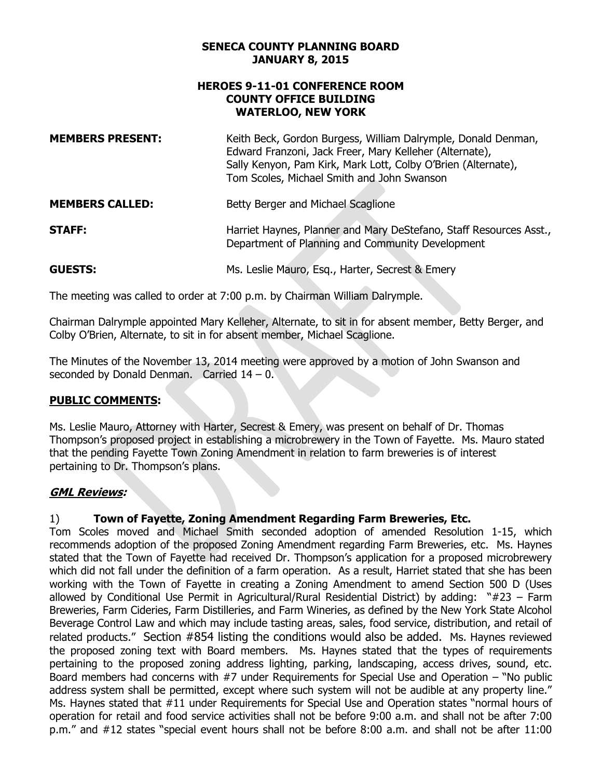#### **SENECA COUNTY PLANNING BOARD JANUARY 8, 2015**

# **HEROES 9-11-01 CONFERENCE ROOM COUNTY OFFICE BUILDING WATERLOO, NEW YORK**

| <b>MEMBERS PRESENT:</b> | Keith Beck, Gordon Burgess, William Dalrymple, Donald Denman,<br>Edward Franzoni, Jack Freer, Mary Kelleher (Alternate),<br>Sally Kenyon, Pam Kirk, Mark Lott, Colby O'Brien (Alternate),<br>Tom Scoles, Michael Smith and John Swanson |
|-------------------------|-----------------------------------------------------------------------------------------------------------------------------------------------------------------------------------------------------------------------------------------|
| <b>MEMBERS CALLED:</b>  | Betty Berger and Michael Scaglione                                                                                                                                                                                                      |
| <b>STAFF:</b>           | Harriet Haynes, Planner and Mary DeStefano, Staff Resources Asst.,<br>Department of Planning and Community Development                                                                                                                  |

**GUESTS:** Ms. Leslie Mauro, Esq., Harter, Secrest & Emery

The meeting was called to order at 7:00 p.m. by Chairman William Dalrymple.

Chairman Dalrymple appointed Mary Kelleher, Alternate, to sit in for absent member, Betty Berger, and Colby O'Brien, Alternate, to sit in for absent member, Michael Scaglione.

 The Minutes of the November 13, 2014 meeting were approved by a motion of John Swanson and seconded by Donald Denman. Carried 14 – 0.

# **PUBLIC COMMENTS:**

that the pending Fayette Town Zoning Amendment in relation to farm breweries is of interest<br>pertaining to Dr. Thompson's plans. Ms. Leslie Mauro, Attorney with Harter, Secrest & Emery, was present on behalf of Dr. Thomas Thompson's proposed project in establishing a microbrewery in the Town of Fayette. Ms. Mauro stated

# **GML Reviews:**

#### $1)$ 1) **Town of Fayette, Zoning Amendment Regarding Farm Breweries, Etc.**

 Tom Scoles moved and Michael Smith seconded adoption of amended Resolution 1-15, which stated that the Town of Fayette had received Dr. Thompson's application for a proposed microbrewery which did not fall under the definition of a farm operation. As a result, Harriet stated that she has been working with the Town of Fayette in creating a Zoning Amendment to amend Section 500 D (Uses allowed by Conditional Use Permit in Agricultural/Rural Residential District) by adding: "#23 – Farm Breweries, Farm Cideries, Farm Distilleries, and Farm Wineries, as defined by the New York State Alcohol Beverage Control Law and which may include tasting areas, sales, food service, distribution, and retail of related products." Section #854 listing the conditions would also be added. Ms. Haynes reviewed the proposed zoning text with Board members. Ms. Haynes stated that the types of requirements pertaining to the proposed zoning address lighting, parking, landscaping, access drives, sound, etc. address system shall be permitted, except where such system will not be audible at any property line." Ms. Haynes stated that #11 under Requirements for Special Use and Operation states "normal hours of operation for retail and food service activities shall not be before 9:00 a.m. and shall not be after 7:00 p.m." and #12 states "special event hours shall not be before 8:00 a.m. and shall not be after 11:00 recommends adoption of the proposed Zoning Amendment regarding Farm Breweries, etc. Ms. Haynes Board members had concerns with #7 under Requirements for Special Use and Operation – "No public